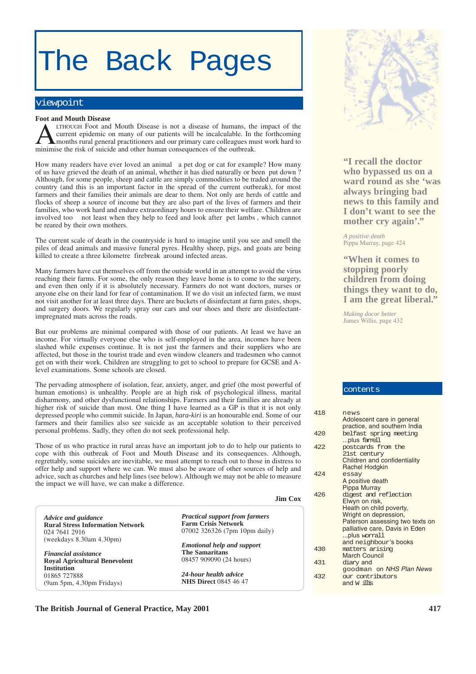# The Back Pages

# viewpoint

#### **Foot and Mouth Disease**

LTHOUGH Foot and Mouth Disease is not a disease of humans, the impact of the current epidemic on many of our patients will be incalculable. In the forthcoming months rural general practitioners and our primary care colleagues must work hard to minimise the risk of suicide and other human consequences of the outbreak.

How many readers have ever loved an animal a pet dog or cat for example? How many of us have grieved the death of an animal, whether it has died naturally or been put down ? Although, for some people, sheep and cattle are simply commodities to be traded around the country (and this is an important factor in the spread of the current outbreak), for most farmers and their families their animals are dear to them. Not only are herds of cattle and flocks of sheep a source of income but they are also part of the lives of farmers and their families, who work hard and endure extraordinary hours to ensure their welfare. Children are involved too not least when they help to feed and look after pet lambs , which cannot be reared by their own mothers.

The current scale of death in the countryside is hard to imagine until you see and smell the piles of dead animals and massive funeral pyres. Healthy sheep, pigs, and goats are being killed to create a three kilometre firebreak around infected areas.

Many farmers have cut themselves off from the outside world in an attempt to avoid the virus reaching their farms. For some, the only reason they leave home is to come to the surgery, and even then only if it is absolutely necessary. Farmers do not want doctors, nurses or anyone else on their land for fear of contamination. If we do visit an infected farm, we must not visit another for at least three days. There are buckets of disinfectant at farm gates, shops, and surgery doors. We regularly spray our cars and our shoes and there are disinfectantimpregnated mats across the roads.

But our problems are minimal compared with those of our patients. At least we have an income. For virtually everyone else who is self-employed in the area, incomes have been slashed while expenses continue. It is not just the farmers and their suppliers who are affected, but those in the tourist trade and even window cleaners and tradesmen who cannot get on with their work. Children are struggling to get to school to prepare for GCSE and Alevel examinations. Some schools are closed.

The pervading atmosphere of isolation, fear, anxiety, anger, and grief (the most powerful of human emotions) is unhealthy. People are at high risk of psychological illness, marital disharmony, and other dysfunctional relationships. Farmers and their families are already at higher risk of suicide than most. One thing I have learned as a GP is that it is not only depressed people who commit suicide. In Japan, *hara-kiri* is an honourable end. Some of our farmers and their families also see suicide as an acceptable solution to their perceived personal problems. Sadly, they often do not seek professional help.

Those of us who practice in rural areas have an important job to do to help our patients to cope with this outbreak of Foot and Mouth Disease and its consequences. Although, regrettably, some suicides are inevitable, we must attempt to reach out to those in distress to offer help and support where we can. We must also be aware of other sources of help and advice, such as churches and help lines (see below). Although we may not be able to measure the impact we will have, we can make a difference.

|                                                                     | <b>Jim Cox</b>                                              |  |
|---------------------------------------------------------------------|-------------------------------------------------------------|--|
| Advice and guidance                                                 | <b>Practical support from farmers</b>                       |  |
| <b>Rural Stress Information Network</b><br>024 7641 2916            | <b>Farm Crisis Network</b><br>07002 326326 (7pm 10pm daily) |  |
| (weekdays $8.30$ am $4.30$ pm)                                      |                                                             |  |
|                                                                     | <b>Emotional help and support</b><br><b>The Samaritans</b>  |  |
| <b>Financial</b> assistance<br><b>Royal Agricultural Benevolent</b> | 08457 909090 (24 hours)                                     |  |
| <b>Institution</b>                                                  |                                                             |  |
| 01865 727888                                                        | 24-hour health advice<br><b>NHS Direct 0845 46 47</b>       |  |
| $(9am\,5pm, 4.30pm\,$ Fridays)                                      |                                                             |  |



**"I recall the doctor who bypassed us on a ward round as she 'was always bringing bad news to this family and I don't want to see the mother cry again'."**

*A positive death* Pippa Murray, page 424

**"When it comes to stopping poorly children from doing things they want to do, I am the great liberal."**

*Making docor better* James Willis, page 432

# contents

| 418  | news                            |
|------|---------------------------------|
|      | Adolescent care in general      |
|      | practice, and southern India    |
| 420  | belfast spring meeting          |
|      | plus famell                     |
| 422  | postcards from the              |
|      | 21st century                    |
|      | Children and confidentiality    |
|      | <b>Rachel Hodgkin</b>           |
| 42.4 | essay                           |
|      | A positive death                |
|      | Pippa Murray                    |
| 426  | digest and reflection           |
|      | Elwyn on risk,                  |
|      | Heath on child poverty,         |
|      | Wright on depression,           |
|      | Paterson assessing two texts on |
|      | palliative care, Davis in Eden  |
|      | plus worrall                    |
|      | and neighbour's books           |
| 430  | matters arising                 |
|      | <b>March Council</b>            |
| 431  | diary and                       |
|      | goodman on NHS Plan News        |
| 432  | our contributors                |
|      | and W illis                     |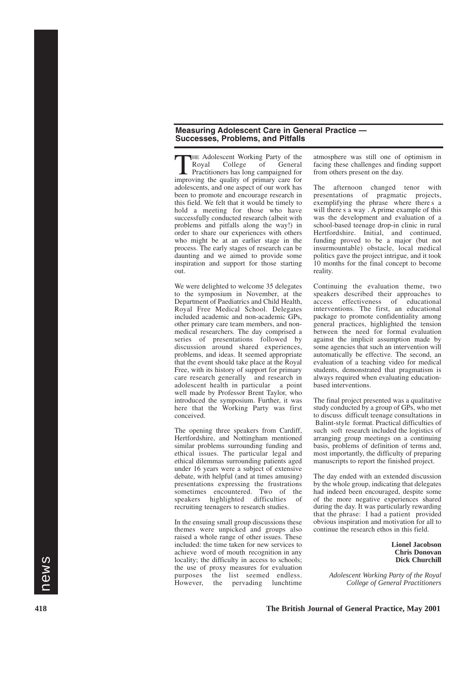### **Measuring Adolescent Care in General Practice — Successes, Problems, and Pitfalls**

THE Adolescent Working Party of the<br>Royal College of General College Practitioners has long campaigned for improving the quality of primary care for adolescents, and one aspect of our work has been to promote and encourage research in this field. We felt that it would be timely to hold a meeting for those who have successfully conducted research (albeit with problems and pitfalls along the way!) in order to share our experiences with others who might be at an earlier stage in the process. The early stages of research can be daunting and we aimed to provide some inspiration and support for those starting out.

We were delighted to welcome 35 delegates to the symposium in November, at the Department of Paediatrics and Child Health, Royal Free Medical School. Delegates included academic and non-academic GPs, other primary care team members, and nonmedical researchers. The day comprised a series of presentations followed by discussion around shared experiences, problems, and ideas. It seemed appropriate that the event should take place at the Royal Free, with its history of support for primary care research generally and research in adolescent health in particular a point well made by Professor Brent Taylor, who introduced the symposium. Further, it was here that the Working Party was first conceived.

The opening three speakers from Cardiff, Hertfordshire, and Nottingham mentioned similar problems surrounding funding and ethical issues. The particular legal and ethical dilemmas surrounding patients aged under 16 years were a subject of extensive debate, with helpful (and at times amusing) presentations expressing the frustrations sometimes encountered. Two of the speakers highlighted difficulties of recruiting teenagers to research studies.

In the ensuing small group discussions these themes were unpicked and groups also raised a whole range of other issues. These included: the time taken for new services to achieve word of mouth recognition in any locality; the difficulty in access to schools; the use of proxy measures for evaluation purposes the list seemed endless. However, the pervading lunchtime

atmosphere was still one of optimism in facing these challenges and finding support from others present on the day.

The afternoon changed tenor with presentations of pragmatic projects, exemplifying the phrase where there s a will there s a way . A prime example of this was the development and evaluation of a school-based teenage drop-in clinic in rural Hertfordshire. Initial, and continued, funding proved to be a major (but not insurmountable) obstacle, local medical politics gave the project intrigue, and it took 10 months for the final concept to become reality.

Continuing the evaluation theme, two speakers described their approaches to access effectiveness of educational interventions. The first, an educational package to promote confidentiality among general practices, highlighted the tension between the need for formal evaluation against the implicit assumption made by some agencies that such an intervention will automatically be effective. The second, an evaluation of a teaching video for medical students, demonstrated that pragmatism is always required when evaluating educationbased interventions.

The final project presented was a qualitative study conducted by a group of GPs, who met to discuss difficult teenage consultations in Balint-style format. Practical difficulties of such soft research included the logistics of arranging group meetings on a continuing basis, problems of definition of terms and, most importantly, the difficulty of preparing manuscripts to report the finished project.

The day ended with an extended discussion by the whole group, indicating that delegates had indeed been encouraged, despite some of the more negative experiences shared during the day. It was particularly rewarding that the phrase: I had a patient provided obvious inspiration and motivation for all to continue the research ethos in this field.

> **Lionel Jacobson Chris Donovan Dick Churchill**

*Adolescent Working Party of the Royal College of General Practitioners*

**418 The British Journal of General Practice, May 2001**

news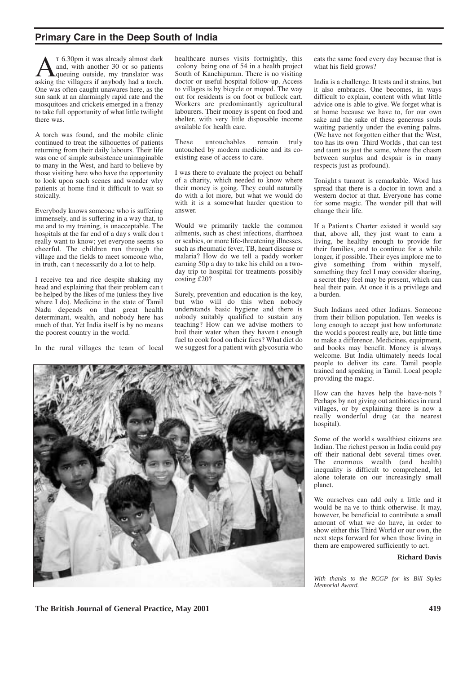# **Primary Care in the Deep South of India**

**A** T 6.30pm it was already almost dark<br>queuing outside, my translator was<br>asking the villagers if anybody had a torch and, with another 30 or so patients asking the villagers if anybody had a torch. One was often caught unawares here, as the sun sank at an alarmingly rapid rate and the mosquitoes and crickets emerged in a frenzy to take full opportunity of what little twilight there was.

A torch was found, and the mobile clinic continued to treat the silhouettes of patients returning from their daily labours. Their life was one of simple subsistence unimaginable to many in the West, and hard to believe by those visiting here who have the opportunity to look upon such scenes and wonder why patients at home find it difficult to wait so stoically.

Everybody knows someone who is suffering immensely, and is suffering in a way that, to me and to my training, is unacceptable. The hospitals at the far end of a day s walk don t really want to know; yet everyone seems so cheerful. The children run through the village and the fields to meet someone who, in truth, can t necessarily do a lot to help.

I receive tea and rice despite shaking my head and explaining that their problem can t be helped by the likes of me (unless they live where I do). Medicine in the state of Tamil Nadu depends on that great health determinant, wealth, and nobody here has much of that. Yet India itself is by no means the poorest country in the world.

In the rural villages the team of local

healthcare nurses visits fortnightly, this colony being one of 54 in a health project South of Kanchipuram. There is no visiting doctor or useful hospital follow-up. Access to villages is by bicycle or moped. The way out for residents is on foot or bullock cart. Workers are predominantly agricultural labourers. Their money is spent on food and shelter, with very little disposable income available for health care.

These untouchables remain truly untouched by modern medicine and its coexisting ease of access to care.

I was there to evaluate the project on behalf of a charity, which needed to know where their money is going. They could naturally do with a lot more, but what we would do with it is a somewhat harder question to answer.

Would we primarily tackle the common ailments, such as chest infections, diarrhoea or scabies, or more life-threatening illnesses, such as rheumatic fever, TB, heart disease or malaria? How do we tell a paddy worker earning 50p a day to take his child on a twoday trip to hospital for treatments possibly costing £20?

Surely, prevention and education is the key, but who will do this when nobody understands basic hygiene and there is nobody suitably qualified to sustain any teaching? How can we advise mothers to boil their water when they haven t enough fuel to cook food on their fires? What diet do we suggest for a patient with glycosuria who

eats the same food every day because that is what his field grows?

India is a challenge. It tests and it strains, but it also embraces. One becomes, in ways difficult to explain, content with what little advice one is able to give. We forget what is at home because we have to, for our own sake and the sake of these generous souls waiting patiently under the evening palms. (We have not forgotten either that the West, too has its own Third Worlds , that can test and taunt us just the same, where the chasm between surplus and despair is in many respects just as profound).

Tonight s turnout is remarkable. Word has spread that there is a doctor in town and a western doctor at that. Everyone has come for some magic. The wonder pill that will change their life.

If a Patient s Charter existed it would say that, above all, they just want to earn a living, be healthy enough to provide for their families, and to continue for a while longer, if possible. Their eyes implore me to give something from within myself, something they feel I may consider sharing, a secret they feel may be present, which can heal their pain. At once it is a privilege and a burden.

Such Indians need other Indians. Someone from their billion population. Ten weeks is long enough to accept just how unfortunate the world s poorest really are, but little time to make a difference. Medicines, equipment, and books may benefit. Money is always welcome. But India ultimately needs local people to deliver its care. Tamil people trained and speaking in Tamil. Local people providing the magic.

How can the haves help the have-nots ? Perhaps by not giving out antibiotics in rural villages, or by explaining there is now a really wonderful drug (at the nearest

Some of the world s wealthiest citizens are Indian. The richest person in India could pay off their national debt several times over. The enormous wealth (and health) inequality is difficult to comprehend, let alone tolerate on our increasingly small planet.

We ourselves can add only a little and it would be na ve to think otherwise. It may, however, be beneficial to contribute a small amount of what we do have, in order to show either this Third World or our own, the next steps forward for when those living in them are empowered sufficiently to act.

#### **Richard Davis**

*With thanks to the RCGP for its Bill Styles Memorial Award.*



hospital).

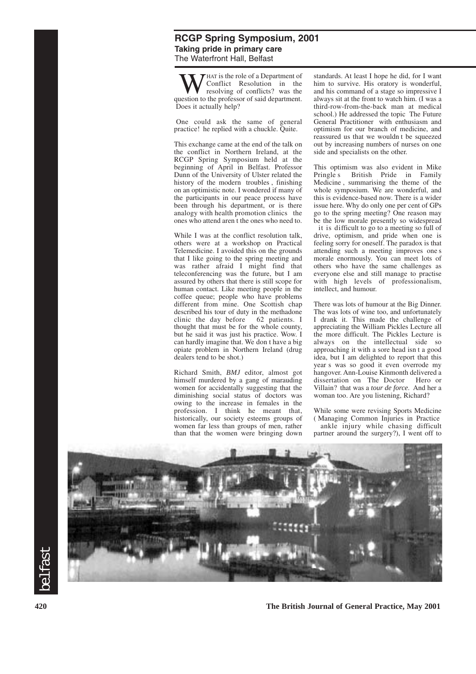# **RCGP Spring Symposium, 2001 Taking pride in primary care** The Waterfront Hall, Belfast

**WE** HAT is the role of a Department of<br>resolving of conflicts? was the<br>restion to the professor of said department Conflict Resolution in the resolving of conflicts? was the question to the professor of said department. Does it actually help?

One could ask the same of general practice! he replied with a chuckle. Quite.

This exchange came at the end of the talk on the conflict in Northern Ireland, at the RCGP Spring Symposium held at the beginning of April in Belfast. Professor Dunn of the University of Ulster related the history of the modern troubles , finishing on an optimistic note. I wondered if many of the participants in our peace process have been through his department, or is there analogy with health promotion clinics the ones who attend aren t the ones who need to.

While I was at the conflict resolution talk, others were at a workshop on Practical Telemedicine. I avoided this on the grounds that I like going to the spring meeting and was rather afraid I might find that teleconferencing was the future, but I am assured by others that there is still scope for human contact. Like meeting people in the coffee queue; people who have problems different from mine. One Scottish chap described his tour of duty in the methadone<br>clinic the day before 62 patients. I clinic the day before thought that must be for the whole county, but he said it was just his practice. Wow. I can hardly imagine that. We don t have a big opiate problem in Northern Ireland (drug dealers tend to be shot.)

Richard Smith, *BMJ* editor, almost got himself murdered by a gang of marauding women for accidentally suggesting that the diminishing social status of doctors was owing to the increase in females in the profession. I think he meant that, historically, our society esteems groups of women far less than groups of men, rather than that the women were bringing down standards. At least I hope he did, for I want him to survive. His oratory is wonderful, and his command of a stage so impressive I always sit at the front to watch him. (I was a third-row-from-the-back man at medical school.) He addressed the topic The Future General Practitioner with enthusiasm and optimism for our branch of medicine, and reassured us that we wouldn t be squeezed out by increasing numbers of nurses on one side and specialists on the other.

This optimism was also evident in Mike<br>Pringle's British Pride in Family British Pride in Family Medicine , summarising the theme of the whole symposium. We are wonderful, and this is evidence-based now. There is a wider issue here. Why do only one per cent of GPs go to the spring meeting? One reason may be the low morale presently so widespread

 it is difficult to go to a meeting so full of drive, optimism, and pride when one is feeling sorry for oneself. The paradox is that attending such a meeting improves one s morale enormously. You can meet lots of others who have the same challenges as everyone else and still manage to practise with high levels of professionalism, intellect, and humour.

There was lots of humour at the Big Dinner. The was lots of wine too, and unfortunately I drank it. This made the challenge of appreciating the William Pickles Lecture all the more difficult. The Pickles Lecture is always on the intellectual side so approaching it with a sore head isn t a good idea, but I am delighted to report that this year s was so good it even overrode my hangover. Ann-Louise Kinmonth delivered a dissertation on The Doctor Hero or Villain? that was a *tour de force*. And her a woman too. Are you listening, Richard?

While some were revising Sports Medicine ( Managing Common Injuries in Practice ankle injury while chasing difficult partner around the surgery?), I went off to

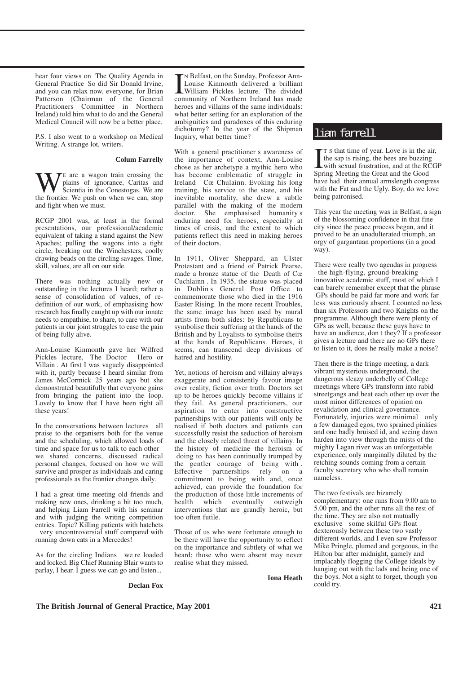hear four views on The Quality Agenda in General Practice So did Sir Donald Irvine, and you can relax now, everyone, for Brian Patterson (Chairman of the General Practitioners Committee in Northern Ireland) told him what to do and the General Medical Council will now be a better place.

P.S. I also went to a workshop on Medical Writing. A strange lot, writers.

#### **Colum Farrelly**

**WE** are a wagon train crossing the plains of ignorance, Caritas and Scientia in the Conestogas. We are the frontier We push on when we can stop plains of ignorance, Caritas and Scientia in the Conestogas. We are the frontier. We push on when we can, stop and fight when we must.

RCGP 2001 was, at least in the formal presentations, our professional/academic equivalent of taking a stand against the New Apaches; pulling the wagons into a tight circle, breaking out the Winchesters, coolly drawing beads on the circling savages. Time, skill, values, are all on our side.

There was nothing actually new or outstanding in the lectures I heard; rather a sense of consolidation of values, of redefinition of our work, of emphasising how research has finally caught up with our innate needs to empathise, to share, to care with our patients in our joint struggles to ease the pain of being fully alive.

Ann-Louise Kinmonth gave her Wilfred Pickles lecture, The Doctor Hero or Villain . At first I was vaguely disappointed with it, partly because I heard similar from James McCormick 25 years ago but she demonstrated beautifully that everyone gains from bringing the patient into the loop. Lovely to know that I have been right all these years!

In the conversations between lectures all praise to the organisers both for the venue and the scheduling, which allowed loads of time and space for us to talk to each other we shared concerns, discussed radical personal changes, focused on how we will survive and prosper as individuals and caring professionals as the frontier changes daily.

I had a great time meeting old friends and making new ones, drinking a bit too much, and helping Liam Farrell with his seminar and with judging the writing competition entries. Topic? Killing patients with hatchets very uncontroversial stuff compared with running down cats in a Mercedes!

As for the circling Indians we re loaded and locked. Big Chief Running Blair wants to parlay, I hear. I guess we can go and listen...

# IN Belfast, on the Sunday, Professor Ann-<br>Louise Kinmonth delivered a brilliant<br>William Pickles lecture. The divided<br>community of Northern Ireland has made N Belfast, on the Sunday, Professor Ann-Louise Kinmonth delivered a brilliant William Pickles lecture. The divided heroes and villains of the same individuals: what better setting for an exploration of the ambiguities and paradoxes of this enduring dichotomy? In the year of the Shipman Inquiry, what better time?

With a general practitioner s awareness of the importance of context, Ann-Louise chose as her archetype a mythic hero who has become emblematic of struggle in Ireland Cœ Chulainn. Evoking his long training, his service to the state, and his inevitable mortality, she drew a subtle parallel with the making of the modern doctor. She emphasised humanity s enduring need for heroes, especially at times of crisis, and the extent to which patients reflect this need in making heroes of their doctors.

In 1911, Oliver Sheppard, an Ulster Protestant and a friend of Patrick Pearse, made a bronze statue of the Death of Cœ Cuchlainn . In 1935, the statue was placed in Dublin s General Post Office to commemorate those who died in the 1916 Easter Rising. In the more recent Troubles, the same image has been used by mural artists from both sides: by Republicans to symbolise their suffering at the hands of the British and by Loyalists to symbolise theirs at the hands of Republicans. Heroes, it seems, can transcend deep divisions of hatred and hostility.

Yet, notions of heroism and villainy always exaggerate and consistently favour image over reality, fiction over truth. Doctors set up to be heroes quickly become villains if they fail. As general practitioners, our aspiration to enter into constructive partnerships with our patients will only be realised if both doctors and patients can successfully resist the seduction of heroism and the closely related threat of villainy. In the history of medicine the heroism of doing to has been continually trumped by the gentler courage of being with . Effective partnerships rely on a commitment to being with and, once achieved, can provide the foundation for the production of those little increments of health which eventually outweigh interventions that are grandly heroic, but too often futile.

Those of us who were fortunate enough to be there will have the opportunity to reflect on the importance and subtlety of what we heard; those who were absent may never realise what they missed.

**Iona Heath**

# liam farrell

T s that time of year. Love is in the a<br>the sap is rising, the bees are buzzin<br>with sexual frustration, and at the R<br>Spring Meeting the Great and the Good T S that time of year. Love is in the air, the sap is rising, the bees are buzzing with sexual frustration, and at the RCGP have had their annual armslength congress with the Fat and the Ugly. Boy, do we love being patronised.

This year the meeting was in Belfast, a sign of the blossoming confidence in that fine city since the peace process began, and it proved to be an unadulterated triumph, an orgy of gargantuan proportions (in a good way).

There were really two agendas in progress the high-flying, ground-breaking innovative academic stuff, most of which I can barely remember except that the phrase GPs should be paid far more and work far less was curiously absent. I counted no less than six Professors and two Knights on the programme. Although there were plenty of GPs as well, because these guys have to have an audience, don t they? If a professor gives a lecture and there are no GPs there to listen to it, does he really make a noise?

Then there is the fringe meeting, a dark vibrant mysterious underground, the dangerous sleazy underbelly of College meetings where GPs transform into rabid streetgangs and beat each other up over the most minor differences of opinion on revalidation and clinical governance. Fortunately, injuries were minimal only a few damaged egos, two sprained pinkies and one badly bruised id, and seeing dawn harden into view through the mists of the mighty Lagan river was an unforgettable experience, only marginally diluted by the retching sounds coming from a certain faculty secretary who who shall remain nameless.

The two festivals are bizarrely complementary: one runs from 9.00 am to 5.00 pm, and the other runs all the rest of the time. They are also not mutually exclusive some skilful GPs float dexterously between these two vastly different worlds, and I even saw Professor Mike Pringle, plumed and gorgeous, in the Hilton bar after midnight, gamely and implacably flogging the College ideals by hanging out with the lads and being one of the boys. Not a sight to forget, though you could try.

**Declan Fox**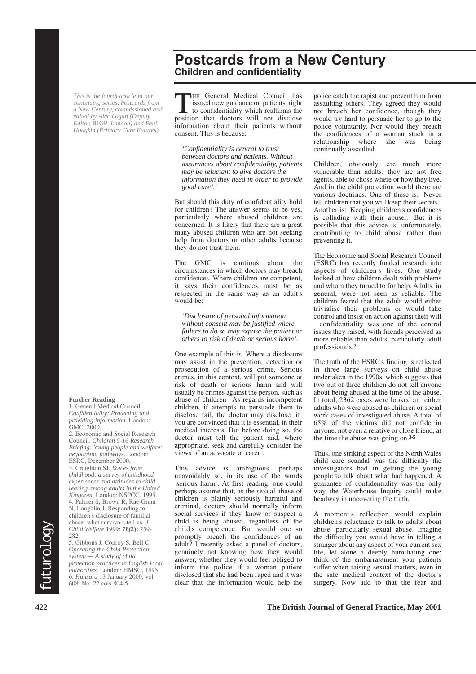*This is the fourth article in our continuing series, Postcards from a New Century, commissioned and edited by Alec Logan (Deputy Editor,* BJGP*, London) and Paul Hodgkin (Primary Care Futures).*

#### **Further Reading**

1. General Medical Council. *Confidentiality: Protecting and providing information*. London: GMC, 2000.

2. Economic and Social Research Council. *Children 5-16 Research Briefing: Young people and welfare: negotiating pathways*. London: ESRC, December 2000.

3. Creighton SJ. *Voices from childhood: a survey of childhood experiences and attitudes to child rearing among adults in the United Kingdom*. London: NSPCC, 1995. 4. Palmer S, Brown R, Rae-Grant N, Loughlin J. Responding to children s disclosure of familial abuse: what survivors tell us. *J Child Welfare* 1999; **78(2):** 259- 282.

5. Gibbons J, Conroy S, Bell C. *Operating the Child Protection system — A study of child protection practices in English local authorities*. London: HMSO, 1995. 6. *Hansard* 13 January 2000, vol 608, No. 22 cols 804-5.

THE General Medical Council has<br>issued new guidance on patients right<br>to confidentiality which reaffirms the<br>position that doctors will not disclose issued new guidance on patients right to confidentiality which reaffirms the position that doctors will not disclose information about their patients without

**Children and confidentiality**

**Postcards from a New Century**

consent. This is because:

*'Confidentiality is central to trust between doctors and patients. Without assurances about confidentiality, patients may be reluctant to give doctors the information they need in order to provide good care'.***<sup>1</sup>**

But should this duty of confidentiality hold for children? The answer seems to be yes, particularly where abused children are concerned. It is likely that there are a great many abused children who are not seeking help from doctors or other adults because they do not trust them.

The GMC is cautious about the circumstances in which doctors may breach confidences. Where children are competent, it says their confidences must be as respected in the same way as an adult s would be:

*'Disclosure of personal information without consent may be justified where failure to do so may expose the patient or others to risk of death or serious harm'.*

One example of this is Where a disclosure may assist in the prevention, detection or prosecution of a serious crime. Serious crimes, in this context, will put someone at risk of death or serious harm and will usually be crimes against the person, such as abuse of children . As regards incompetent children, if attempts to persuade them to disclose fail, the doctor may disclose if you are convinced that it is essential, in their medical interests. But before doing so, the doctor must tell the patient and, where appropriate, seek and carefully consider the views of an advocate or carer .

Final was: what survivors tell us. J<br>
Child Welfare 1999; 78(2): 259-<br>
Child Welfare 1999; 78(2): 259-<br>
child Sompetence. But would one so abuse, particularly sexual abuse. Imagine<br>
S. Gibbons J, Conroy S, Bell C.<br>
Operati This advice is ambiguous, perhaps unavoidably so, in its use of the words serious harm . At first reading, one could perhaps assume that, as the sexual abuse of children is plainly seriously harmful and criminal, doctors should normally inform social services if they know or suspect a child is being abused, regardless of the child s competence. But would one so promptly breach the confidences of an adult? I recently asked a panel of doctors, genuinely not knowing how they would answer, whether they would feel obliged to inform the police if a woman patient disclosed that she had been raped and it was clear that the information would help the

police catch the rapist and prevent him from assaulting others. They agreed they would not breach her confidence, though they would try hard to persuade her to go to the police voluntarily. Nor would they breach the confidences of a woman stuck in a relationship where she was being continually assaulted.

Children, obviously, are much more vulnerable than adults; they are not free agents, able to chose where or how they live. And in the child protection world there are various doctrines. One of these is: Never tell children that you will keep their secrets. Another is: Keeping children s confidences is colluding with their abuser. But it is possible that this advice is, unfortunately, contributing to child abuse rather than preventing it.

The Economic and Social Research Council (ESRC) has recently funded research into aspects of children s lives. One study looked at how children dealt with problems and whom they turned to for help. Adults, in general, were not seen as reliable. The children feared that the adult would either trivialise their problems or would take control and insist on action against their will confidentiality was one of the central issues they raised, with friends perceived as more reliable than adults, particularly adult professionals.**<sup>2</sup>**

The truth of the ESRC s finding is reflected in three large surveys on child abuse undertaken in the 1990s, which suggests that two out of three children do not tell anyone about being abused at the time of the abuse. In total, 2362 cases were looked at either adults who were abused as children or social work cases of investigated abuse. A total of 65% of the victims did not confide in anyone, not even a relative or close friend, at the time the abuse was going on.**3-5**

Thus, one striking aspect of the North Wales child care scandal was the difficulty the investigators had in getting the young people to talk about what had happened. A guarantee of confidentiality was the only way the Waterhouse Inquiry could make headway in uncovering the truth.

A moment s reflection would explain children s reluctance to talk to adults about abuse, particularly sexual abuse. Imagine the difficulty you would have in telling a stranger about any aspect of your current sex life, let alone a deeply humiliating one; think of the embarrassment your patients suffer when raising sexual matters, even in the safe medical context of the doctor s surgery. Now add to that the fear and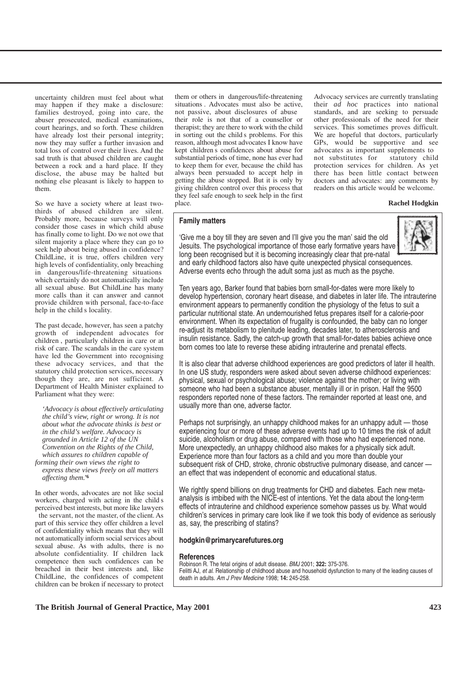uncertainty children must feel about what may happen if they make a disclosure: families destroyed, going into care, the abuser prosecuted, medical examinations, court hearings, and so forth. These children have already lost their personal integrity; now they may suffer a further invasion and total loss of control over their lives. And the sad truth is that abused children are caught between a rock and a hard place. If they disclose, the abuse may be halted but nothing else pleasant is likely to happen to them.

So we have a society where at least twothirds of abused children are silent. Probably more, because surveys will only consider those cases in which child abuse has finally come to light. Do we not owe that silent majority a place where they can go to seek help about being abused in confidence? ChildLine, it is true, offers children very high levels of confidentiality, only breaching in dangerous/life-threatening situations which certainly do not automatically include all sexual abuse. But ChildLine has many more calls than it can answer and cannot provide children with personal, face-to-face help in the child s locality.

The past decade, however, has seen a patchy growth of independent advocates for children , particularly children in care or at risk of care. The scandals in the care system have led the Government into recognising these advocacy services, and that the statutory child protection services, necessary though they are, are not sufficient. A Department of Health Minister explained to Parliament what they were:

*'Advocacy is about effectively articulating the child's view, right or wrong. It is not about what the advocate thinks is best or in the child's welfare. Advocacy is grounded in Article 12 of the UN Convention on the Rights of the Child, which assures to children capable of forming their own views the right to* 

*express these views freely on all matters affecting them.'***<sup>6</sup>**

In other words, advocates are not like social workers, charged with acting in the child s perceived best interests, but more like lawyers the servant, not the master, of the client. As part of this service they offer children a level of confidentiality which means that they will not automatically inform social services about sexual abuse. As with adults, there is no absolute confidentiality. If children lack competence then such confidences can be breached in their best interests and, like ChildLine, the confidences of competent children can be broken if necessary to protect them or others in dangerous/life-threatening situations . Advocates must also be active, not passive, about disclosures of abuse

their role is not that of a counsellor or therapist; they are there to work with the child in sorting out the child s problems. For this reason, although most advocates I know have kept children s confidences about abuse for substantial periods of time, none has ever had to keep them for ever, because the child has always been persuaded to accept help in getting the abuse stopped. But it is only by giving children control over this process that they feel safe enough to seek help in the first place.

Advocacy services are currently translating their *ad hoc* practices into national standards, and are seeking to persuade other professionals of the need for their services. This sometimes proves difficult. We are hopeful that doctors, particularly GPs, would be supportive and see advocates as important supplements to not substitutes for statutory child protection services for children. As yet there has been little contact between doctors and advocates: any comments by readers on this article would be welcome.

#### **Rachel Hodgkin**

#### **Family matters**



'Give me a boy till they are seven and I'll give you the man' said the old Jesuits. The psychological importance of those early formative years have long been recognised but it is becoming increasingly clear that pre-natal and early childhood factors also have quite unexpected physical consequences. Adverse events echo through the adult soma just as much as the psyche.

Ten years ago, Barker found that babies born small-for-dates were more likely to develop hypertension, coronary heart disease, and diabetes in later life. The intrauterine environment appears to permanently condition the physiology of the fetus to suit a particular nutritional state. An undernourished fetus prepares itself for a calorie-poor environment. When its expectation of frugality is confounded, the baby can no longer re-adjust its metabolism to plenitude leading, decades later, to atherosclerosis and insulin resistance. Sadly, the catch-up growth that small-for-dates babies achieve once born comes too late to reverse these abiding intrauterine and prenatal effects.

It is also clear that adverse childhood experiences are good predictors of later ill health. In one US study, responders were asked about seven adverse childhood experiences: physical, sexual or psychological abuse; violence against the mother; or living with someone who had been a substance abuser, mentally ill or in prison. Half the 9500 responders reported none of these factors. The remainder reported at least one, and usually more than one, adverse factor.

Perhaps not surprisingly, an unhappy childhood makes for an unhappy adult — those experiencing four or more of these adverse events had up to 10 times the risk of adult suicide, alcoholism or drug abuse, compared with those who had experienced none. More unexpectedly, an unhappy childhood also makes for a physically sick adult. Experience more than four factors as a child and you more than double your subsequent risk of CHD, stroke, chronic obstructive pulmonary disease, and cancer an effect that was independent of economic and educational status.

We rightly spend billions on drug treatments for CHD and diabetes. Each new metaanalysis is imbibed with the NICE-est of intentions. Yet the data about the long-term effects of intrauterine and childhood experience somehow passes us by. What would children's services in primary care look like if we took this body of evidence as seriously as, say, the prescribing of statins?

#### **hodgkin@primarycarefutures.org**

#### **References**

Robinson R. The fetal origins of adult disease. BMJ 2001; **322:** 375-376. Felitti AJ, et al. Relationship of childhood abuse and household dysfunction to many of the leading causes of death in adults. Am J Prev Medicine 1998; **14:** 245-258.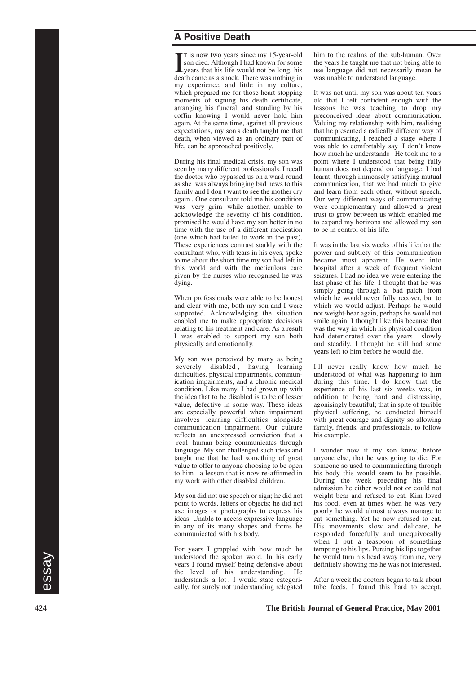# **A Positive Death**

T is now two years since my 15-year-old<br>son died. Although I had known for some<br>years that his life would not be long, his<br>death came as a shock. There was nothing in T is now two years since my 15-year-old son died. Although I had known for some death came as a shock. There was nothing in my experience, and little in my culture, which prepared me for those heart-stopping moments of signing his death certificate, arranging his funeral, and standing by his coffin knowing I would never hold him again. At the same time, against all previous expectations, my son s death taught me that death, when viewed as an ordinary part of life, can be approached positively.

During his final medical crisis, my son was seen by many different professionals. I recall the doctor who bypassed us on a ward round as she was always bringing bad news to this family and I don t want to see the mother cry again . One consultant told me his condition was very grim while another, unable to acknowledge the severity of his condition, promised he would have my son better in no time with the use of a different medication (one which had failed to work in the past). These experiences contrast starkly with the consultant who, with tears in his eyes, spoke to me about the short time my son had left in this world and with the meticulous care given by the nurses who recognised he was dying.

When professionals were able to be honest and clear with me, both my son and I were supported. Acknowledging the situation enabled me to make appropriate decisions relating to his treatment and care. As a result I was enabled to support my son both physically and emotionally.

My son was perceived by many as being severely disabled, having learning difficulties, physical impairments, communication impairments, and a chronic medical condition. Like many, I had grown up with the idea that to be disabled is to be of lesser value, defective in some way. These ideas are especially powerful when impairment involves learning difficulties alongside communication impairment. Our culture reflects an unexpressed conviction that a real human being communicates through language. My son challenged such ideas and taught me that he had something of great value to offer to anyone choosing to be open to him a lesson that is now re-affirmed in my work with other disabled children.

My son did not use speech or sign; he did not point to words, letters or objects; he did not use images or photographs to express his ideas. Unable to access expressive language in any of its many shapes and forms he communicated with his body.

understood the spoken word. In his early he would turn his head away from me, very years I found myself being defensive about definitely showing me he was not interested.<br> **62** the level of his understanding. He understand For years I grappled with how much he understood the spoken word. In his early years I found myself being defensive about the level of his understanding. He understands a lot , I would state categorically, for surely not understanding relegated

him to the realms of the sub-human. Over the years he taught me that not being able to use language did not necessarily mean he was unable to understand language.

It was not until my son was about ten years old that I felt confident enough with the lessons he was teaching to drop my preconceived ideas about communication. Valuing my relationship with him, realising that he presented a radically different way of communicating, I reached a stage where I was able to comfortably say I don't know how much he understands . He took me to a point where I understood that being fully human does not depend on language. I had learnt, through immensely satisfying mutual communication, that we had much to give and learn from each other, without speech. Our very different ways of communicating were complementary and allowed a great trust to grow between us which enabled me to expand my horizons and allowed my son to be in control of his life.

It was in the last six weeks of his life that the power and subtlety of this communication became most apparent. He went into hospital after a week of frequent violent seizures. I had no idea we were entering the last phase of his life. I thought that he was simply going through a bad patch from which he would never fully recover, but to which we would adjust. Perhaps he would not weight-bear again, perhaps he would not smile again. I thought like this because that was the way in which his physical condition had deteriorated over the years slowly and steadily. I thought he still had some years left to him before he would die.

I ll never really know how much he understood of what was happening to him during this time. I do know that the experience of his last six weeks was, in addition to being hard and distressing, agonisingly beautiful; that in spite of terrible physical suffering, he conducted himself with great courage and dignity so allowing family, friends, and professionals, to follow his example.

I wonder now if my son knew, before anyone else, that he was going to die. For someone so used to communicating through his body this would seem to be possible. During the week preceding his final admission he either would not or could not weight bear and refused to eat. Kim loved his food; even at times when he was very poorly he would almost always manage to eat something. Yet he now refused to eat. His movements slow and delicate, he responded forcefully and unequivocally when I put a teaspoon of something tempting to his lips. Pursing his lips together he would turn his head away from me, very definitely showing me he was not interested.

After a week the doctors began to talk about tube feeds. I found this hard to accept.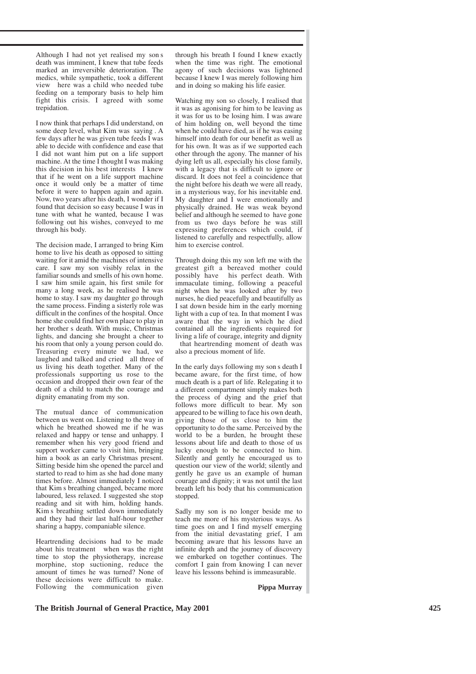Although I had not yet realised my son s death was imminent, I knew that tube feeds marked an irreversible deterioration. The medics, while sympathetic, took a different view here was a child who needed tube feeding on a temporary basis to help him fight this crisis. I agreed with some trepidation.

I now think that perhaps I did understand, on some deep level, what Kim was saying . A few days after he was given tube feeds I was able to decide with confidence and ease that I did not want him put on a life support machine. At the time I thought I was making this decision in his best interests I knew that if he went on a life support machine once it would only be a matter of time before it were to happen again and again. Now, two years after his death, I wonder if I found that decision so easy because I was in tune with what he wanted, because I was following out his wishes, conveyed to me through his body.

The decision made, I arranged to bring Kim home to live his death as opposed to sitting waiting for it amid the machines of intensive care.  $\tilde{I}$  saw my son visibly relax in the familiar sounds and smells of his own home. I saw him smile again, his first smile for many a long week, as he realised he was home to stay. I saw my daughter go through the same process. Finding a sisterly role was difficult in the confines of the hospital. Once home she could find her own place to play in her brother s death. With music, Christmas lights, and dancing she brought a cheer to his room that only a young person could do. Treasuring every minute we had, we laughed and talked and cried all three of us living his death together. Many of the professionals supporting us rose to the occasion and dropped their own fear of the death of a child to match the courage and dignity emanating from my son.

The mutual dance of communication between us went on. Listening to the way in which he breathed showed me if he was relaxed and happy or tense and unhappy. I remember when his very good friend and support worker came to visit him, bringing him a book as an early Christmas present. Sitting beside him she opened the parcel and started to read to him as she had done many times before. Almost immediately I noticed that Kim s breathing changed, became more laboured, less relaxed. I suggested she stop reading and sit with him, holding hands. Kim s breathing settled down immediately and they had their last half-hour together sharing a happy, companiable silence.

Heartrending decisions had to be made about his treatment when was the right time to stop the physiotherapy, increase morphine, stop suctioning, reduce the amount of times he was turned? None of these decisions were difficult to make. Following the communication given

through his breath I found I knew exactly when the time was right. The emotional agony of such decisions was lightened because I knew I was merely following him and in doing so making his life easier.

Watching my son so closely, I realised that it was as agonising for him to be leaving as it was for us to be losing him. I was aware of him holding on, well beyond the time when he could have died, as if he was easing himself into death for our benefit as well as for his own. It was as if we supported each other through the agony. The manner of his dying left us all, especially his close family, with a legacy that is difficult to ignore or discard. It does not feel a coincidence that the night before his death we were all ready, in a mysterious way, for his inevitable end. My daughter and I were emotionally and physically drained. He was weak beyond belief and although he seemed to have gone from us two days before he was still expressing preferences which could, if listened to carefully and respectfully, allow him to exercise control.

Through doing this my son left me with the greatest gift a bereaved mother could possibly have his perfect death. With immaculate timing, following a peaceful night when he was looked after by two nurses, he died peacefully and beautifully as I sat down beside him in the early morning light with a cup of tea. In that moment I was aware that the way in which he died contained all the ingredients required for living a life of courage, integrity and dignity that heartrending moment of death was

also a precious moment of life.

In the early days following my son s death I became aware, for the first time, of how much death is a part of life. Relegating it to a different compartment simply makes both the process of dying and the grief that follows more difficult to bear. My son appeared to be willing to face his own death, giving those of us close to him the opportunity to do the same. Perceived by the world to be a burden, he brought these lessons about life and death to those of us lucky enough to be connected to him. Silently and gently he encouraged us to question our view of the world; silently and gently he gave us an example of human courage and dignity; it was not until the last breath left his body that his communication stopped.

Sadly my son is no longer beside me to teach me more of his mysterious ways. As time goes on and I find myself emerging from the initial devastating grief, I am becoming aware that his lessons have an infinite depth and the journey of discovery we embarked on together continues. The comfort I gain from knowing I can never leave his lessons behind is immeasurable.

**Pippa Murray**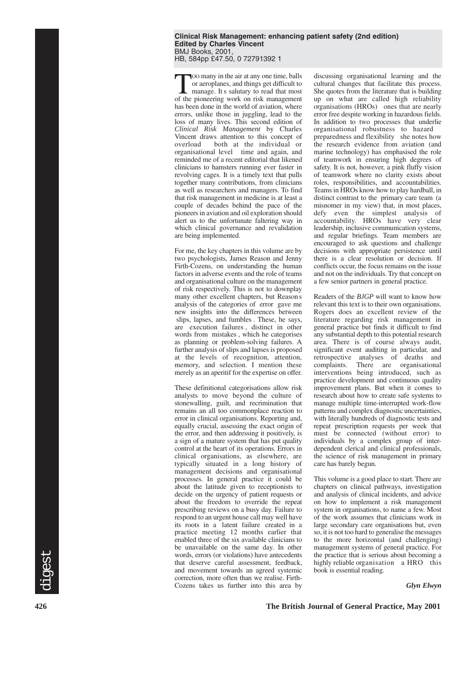#### **Clinical Risk Management: enhancing patient safety (2nd edition) Edited by Charles Vincent** BMJ Books, 2001, HB, 584pp £47.50, 0 72791392 1

Too many in the air at any one time, balls<br>or aeroplanes, and things get difficult to<br>manage. It s salutary to read that most<br>of the pioneering work on risk management or aeroplanes, and things get difficult to of the pioneering work on risk management has been done in the world of aviation, where errors, unlike those in juggling, lead to the loss of many lives. This second edition of *Clinical Risk Management* by Charles Vincent draws attention to this concept of overload both at the individual or both at the individual or organisational level time and again, and reminded me of a recent editorial that likened clinicians to hamsters running ever faster in revolving cages. It is a timely text that pulls together many contributions, from clinicians as well as researchers and managers. To find that risk management in medicine is at least a couple of decades behind the pace of the pioneers in aviation and oil exploration should alert us to the unfortunate faltering way in which clinical governance and revalidation are being implemented.

For me, the key chapters in this volume are by two psychologists, James Reason and Jenny Firth-Cozens, on understanding the human factors in adverse events and the role of teams and organisational culture on the management of risk respectively. This is not to downplay many other excellent chapters, but Reason s analysis of the categories of error gave me new insights into the differences between slips, lapses, and fumbles . These, he says, are execution failures , distinct in other words from mistakes , which he categorises as planning or problem-solving failures. A further analysis of slips and lapses is proposed at the levels of recognition, attention, memory, and selection. I mention these merely as an aperitif for the expertise on offer.

These definitional categorisations allow risk analysts to move beyond the culture of stonewalling, guilt, and recrimination that remains an all too commonplace reaction to error in clinical organisations. Reporting and, equally crucial, assessing the exact origin of the error, and then addressing it positively, is a sign of a mature system that has put quality control at the heart of its operations. Errors in clinical organisations, as elsewhere, are typically situated in a long history of management decisions and organisational processes. In general practice it could be about the latitude given to receptionists to decide on the urgency of patient requests or about the freedom to override the repeat prescribing reviews on a busy day. Failure to respond to an urgent house call may well have its roots in a latent failure created in a practice meeting 12 months earlier that enabled three of the six available clinicians to be unavailable on the same day. In other words, errors (or violations) have antecedents that deserve careful assessment, feedback, and movement towards an agreed systemic correction, more often than we realise. Firth-Cozens takes us further into this area by

discussing organisational learning and the cultural changes that facilitate this process. She quotes from the literature that is building up on what are called high reliability organisations (HROs) ones that are nearly error free despite working in hazardous fields. In addition to two processes that underlie organisational robustness to hazard preparedness and flexibility she notes how the research evidence from aviation (and marine technology) has emphasised the role of teamwork in ensuring high degrees of safety. It is not, however, a pink fluffy vision of teamwork where no clarity exists about roles, responsibilities, and accountabilities. Teams in HROs know how to play hardball, in distinct contrast to the primary care team (a misnomer in my view) that, in most places, defy even the simplest analysis of accountability. HROs have very clear leadership, inclusive communication systems, and regular briefings. Team members are encouraged to ask questions and challenge decisions with appropriate persistence until there is a clear resolution or decision. If conflicts occur, the focus remains on the issue and not on the individuals. Try that concept on a few senior partners in general practice.

Readers of the *BJGP* will want to know how relevant this text is to their own organisations. Rogers does an excellent review of the literature regarding risk management in general practice but finds it difficult to find any substantial depth to this potential research area. There is of course always audit, significant event auditing in particular, and retrospective analyses of deaths and complaints. There are organisational interventions being introduced, such as practice development and continuous quality improvement plans. But when it comes to research about how to create safe systems to manage multiple time-interrupted work-flow patterns and complex diagnostic uncertainties, with literally hundreds of diagnostic tests and repeat prescription requests per week that must be connected (without error) to individuals by a complex group of interdependent clerical and clinical professionals, the science of risk management in primary care has barely begun.

This volume is a good place to start. There are chapters on clinical pathways, investigation and analysis of clinical incidents, and advice on how to implement a risk management system in organisations, to name a few. Most of the work assumes that clinicians work in large secondary care organisations but, even so, it is not too hard to generalise the messages to the more horizontal (and challenging) management systems of general practice. For the practice that is serious about becoming a highly reliable organisation a HRO this book is essential reading.

*Glyn Elwyn*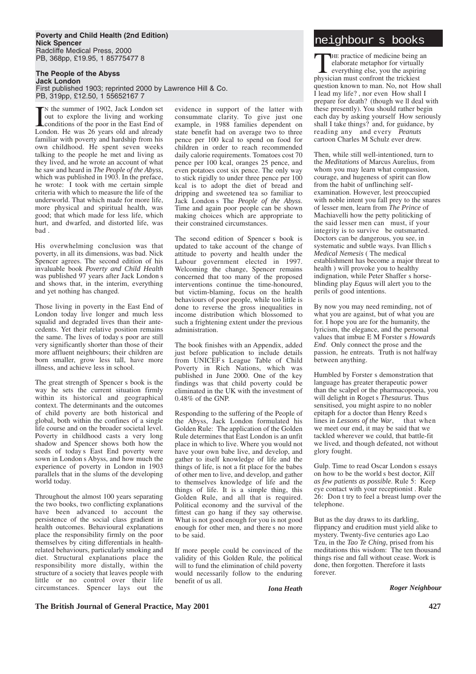#### **Poverty and Child Health (2nd Edition)**<br>
Nick Spencer **Nick Spencer** Radcliffe Medical Press, 2000 PB, 368pp, £19.95, 1 85775477 8

**The People of the Abyss Jack London** 

First published 1903; reprinted 2000 by Lawrence Hill & Co. PB, 319pp, £12.50, 1 55652167 7

In the summer of 1902, Jack London set<br>
out to explore the living and working<br>
conditions of the poor in the East End of<br>
I ondon He was 26 years old and already N the summer of 1902, Jack London set out to explore the living and working London. He was 26 years old and already familiar with poverty and hardship from his own childhood. He spent seven weeks talking to the people he met and living as they lived, and he wrote an account of what he saw and heard in *The People of the Abyss*, which was published in 1903. In the preface, he wrote: I took with me certain simple criteria with which to measure the life of the underworld. That which made for more life, more physical and spiritual health, was good; that which made for less life, which hurt, and dwarfed, and distorted life, was bad .

His overwhelming conclusion was that poverty, in all its dimensions, was bad. Nick Spencer agrees. The second edition of his invaluable book *Poverty and Child Health* was published 97 years after Jack London s and shows that, in the interim, everything and yet nothing has changed.

Those living in poverty in the East End of London today live longer and much less squalid and degraded lives than their antecedents. Yet their relative position remains the same. The lives of today s poor are still very significantly shorter than those of their more affluent neighbours; their children are born smaller, grow less tall, have more illness, and achieve less in school.

The great strength of Spencer s book is the way he sets the current situation firmly within its historical and geographical context. The determinants and the outcomes of child poverty are both historical and global, both within the confines of a single life course and on the broader societal level. Poverty in childhood casts a very long shadow and Spencer shows both how the seeds of today s East End poverty were sown in London s Abyss, and how much the experience of poverty in London in 1903 parallels that in the slums of the developing world today.

Throughout the almost 100 years separating the two books, two conflicting explanations have been advanced to account the persistence of the social class gradient in health outcomes. Behavioural explanations place the responsibility firmly on the poor themselves by citing differentials in healthrelated behaviours, particularly smoking and diet. Structural explanations place the responsibility more distally, within the structure of a society that leaves people with little or no control over their life circumstances. Spencer lays out the

evidence in support of the latter with consummate clarity. To give just one example, in 1988 families dependent on state benefit had on average two to three pence per 100 kcal to spend on food for children in order to reach recommended daily calorie requirements. Tomatoes cost 70 pence per 100 kcal, oranges 25 pence, and even potatoes cost six pence. The only way to stick rigidly to under three pence per 100 kcal is to adopt the diet of bread and dripping and sweetened tea so familiar to Jack London s The *People of the Abyss*. Time and again poor people can be shown making choices which are appropriate to their constrained circumstances.

The second edition of Spencer s book is updated to take account of the change of attitude to poverty and health under the Labour government elected in 1997. Welcoming the change, Spencer remains concerned that too many of the proposed interventions continue the time-honoured, but victim-blaming, focus on the health behaviours of poor people, while too little is done to reverse the gross inequalities in income distribution which blossomed to such a frightening extent under the previous administration.

The book finishes with an Appendix, added just before publication to include details from UNICEF s League Table of Child Poverty in Rich Nations, which was published in June 2000. One of the key findings was that child poverty could be eliminated in the UK with the investment of 0.48% of the GNP.

Responding to the suffering of the People of the Abyss, Jack London formulated his Golden Rule: The application of the Golden Rule determines that East London is an unfit place in which to live. Where you would not have your own babe live, and develop, and gather to itself knowledge of life and the things of life, is not a fit place for the babes of other men to live, and develop, and gather to themselves knowledge of life and the things of life. It is a simple thing, this Golden Rule, and all that is required. Political economy and the survival of the fittest can go hang if they say otherwise. What is not good enough for you is not good enough for other men, and there s no more to be said.

If more people could be convinced of the validity of this Golden Rule, the political will to fund the elimination of child poverty would necessarily follow to the enduring benefit of us all.

THE practice of medicine being an elaborate metaphor for virtually everything else, you the aspiring physician must confront the trickiest question known to man. No, not How shall I lead my life? , nor even How shall I prepare for death? (though we ll deal with these presently). You should rather begin each day by asking yourself How seriously shall I take things? and, for guidance, by reading any and every *Peanuts* cartoon Charles M Schulz ever drew.

Then, while still well-intentioned, turn to the *Meditations* of Marcus Aurelius, from whom you may learn what compassion, courage, and hugeness of spirit can flow from the habit of unflinching selfexamination. However, lest preoccupied with noble intent you fall prey to the snares of lesser men, learn from *The Prince* of Machiavelli how the petty politicking of the said lesser men can must, if your integrity is to survive be outsmarted. Doctors can be dangerous, you see, in systematic and subtle ways. Ivan Illich s *Medical Nemesis* ( The medical establishment has become a major threat to health ) will provoke you to healthy indignation, while Peter Shaffer s horseblinding play *Equus* will alert you to the perils of good intentions.

By now you may need reminding, not of what you are against, but of what you are for. I hope you are for the humanity, the lyricism, the elegance, and the personal values that imbue E M Forster s *Howards End*. Only connect the prose and the passion, he entreats. Truth is not halfway between anything.

Humbled by Forster s demonstration that language has greater therapeutic power than the scalpel or the pharmacopoeia, you will delight in Roget s *Thesaurus*. Thus sensitised, you might aspire to no nobler epitaph for a doctor than Henry Reed s lines in *Lessons of the War*, that when we meet our end, it may be said that we tackled wherever we could, that battle-fit we lived, and though defeated, not without glory fought.

Gulp. Time to read Oscar London s essays on how to be the world s best doctor, *Kill as few patients as possible*. Rule 5: Keep eye contact with your receptionist . Rule 26: Don t try to feel a breast lump over the telephone.

But as the day draws to its darkling, flippancy and erudition must yield alike to mystery. Twenty-five centuries ago Lao Tzu, in the *Tao Te Ching*, prised from his meditations this wisdom: The ten thousand things rise and fall without cease. Work is done, then forgotten. Therefore it lasts forever.

*Iona Heath*

*Roger Neighbour*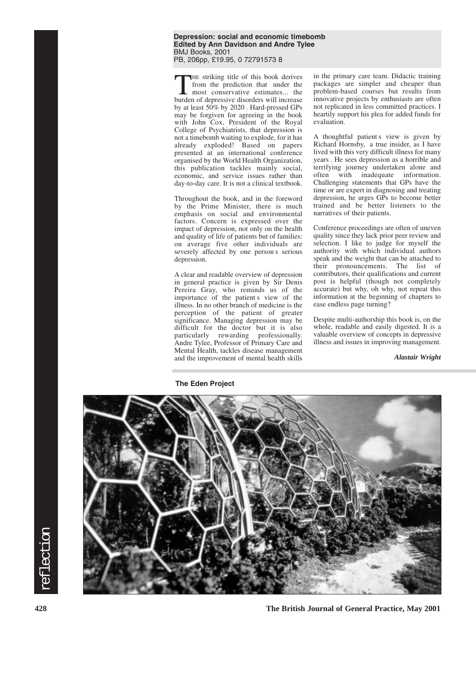**Depression: social and economic timebomb Edited by Ann Davidson and Andre Tylee** BMJ Books, 2001 PB, 206pp, £19.95, 0 72791573 8

THE striking title of this book derives<br>from the prediction that under the<br>most conservative estimates... the<br>burden of denressive disorders will increase from the prediction that under the burden of depressive disorders will increase by at least 50% by 2020 . Hard-pressed GPs may be forgiven for agreeing in the book with John Cox, President of the Royal College of Psychiatrists, that depression is not a timebomb waiting to explode, for it has already exploded! Based on papers presented at an international conference organised by the World Health Organization, this publication tackles mainly social, economic, and service issues rather than day-to-day care. It is not a clinical textbook.

Throughout the book, and in the foreword by the Prime Minister, there is much emphasis on social and environmental factors. Concern is expressed over the impact of depression, not only on the health and quality of life of patients but of families: on average five other individuals are severely affected by one person s serious depression.

A clear and readable overview of depression in general practice is given by Sir Denis Pereira Gray, who reminds us of the importance of the patient s view of the illness. In no other branch of medicine is the perception of the patient of greater significance. Managing depression may be difficult for the doctor but it is also particularly rewarding professionally. Andre Tylee, Professor of Primary Care and Mental Health, tackles disease management and the improvement of mental health skills

in the primary care team. Didactic training packages are simpler and cheaper than problem-based courses but results from innovative projects by enthusiasts are often not replicated in less committed practices. I heartily support his plea for added funds for evaluation.

A thoughtful patient s view is given by Richard Hornsby, a true insider, as I have lived with this very difficult illness for many years . He sees depression as a horrible and terrifying journey undertaken alone and<br>often with inadequate information. often with inadequate Challenging statements that GPs have the time or are expert in diagnosing and treating depression, he urges GPs to become better trained and be better listeners to the narratives of their patients.

Conference proceedings are often of uneven quality since they lack prior peer review and selection. I like to judge for myself the authority with which individual authors speak and the weight that can be attached to their pronouncements. The list of contributors, their qualifications and current post is helpful (though not completely accurate) but why, oh why, not repeat this information at the beginning of chapters to ease endless page turning?

Despite multi-authorship this book is, on the whole, readable and easily digested. It is a valuable overview of concepts in depressive illness and issues in improving management.

*Alastair Wright*



**428 The British Journal of General Practice, May 2001**

reflection

reflection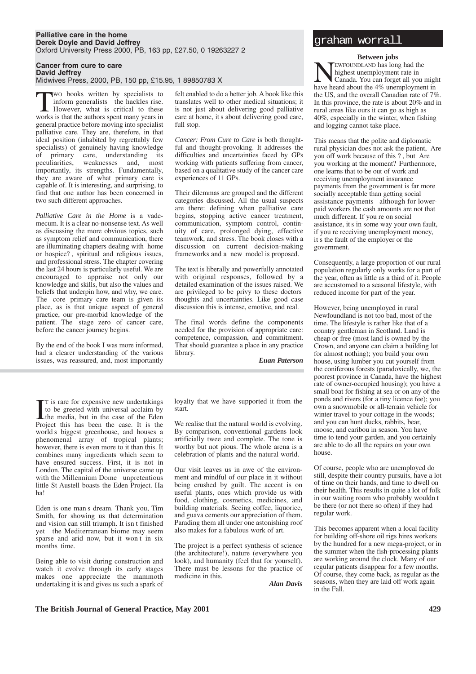#### **Palliative care in the home Derek Doyle and David Jeffrey** Oxford University Press 2000, PB, 163 pp, £27.50, 0 19263227 2

**Cancer from cure to care**

**David Jeffrey** Midwives Press, 2000, PB, 150 pp, £15.95, 1 89850783 X

**TWO books written by specialists to**<br>
inform generalists the hackles rise.<br>
However, what is critical to these<br>
works is that the authors spent many vears in inform generalists the hackles rise. works is that the authors spent many years in general practice before moving into specialist palliative care. They are, therefore, in that ideal position (inhabited by regrettably few specialists) of genuinely having knowledge of primary care, understanding its weaknesses and, most importantly, its strengths. Fundamentally, they are aware of what primary care is capable of. It is interesting, and surprising, to find that one author has been concerned in two such different approaches.

*Palliative Care in the Home* is a vademecum. It is a clear no-nonsense text. As well as discussing the more obvious topics, such as symptom relief and communication, there are illuminating chapters dealing with home or hospice? , spiritual and religious issues, and professional stress. The chapter covering the last 24 hours is particularly useful. We are encouraged to appraise not only our knowledge and skills, but also the values and beliefs that underpin how, and why, we care. The core primary care team is given its place, as is that unique aspect of general practice, our pre-morbid knowledge of the patient. The stage zero of cancer care, before the cancer journey begins.

By the end of the book I was more informed, had a clearer understanding of the various issues, was reassured, and, most importantly felt enabled to do a better job. A book like this translates well to other medical situations; it is not just about delivering good palliative care at home, it s about delivering good care, full stop.

*Cancer: From Cure to Care* is both thoughtful and thought-provoking. It addresses the difficulties and uncertainties faced by GPs working with patients suffering from cancer, based on a qualitative study of the cancer care experiences of 11 GPs.

Their dilemmas are grouped and the different categories discussed. All the usual suspects are there: defining when palliative care begins, stopping active cancer treatment, communication, symptom control, continuity of care, prolonged dying, effective teamwork, and stress. The book closes with a discussion on current decision-making frameworks and a new model is proposed.

The text is liberally and powerfully annotated with original responses, followed by a detailed examination of the issues raised. We are privileged to be privy to these doctors thoughts and uncertainties. Like good case discussion this is intense, emotive, and real.

The final words define the components needed for the provision of appropriate care: competence, compassion, and commitment. That should guarantee a place in any practice library.

*Euan Paterson*

T is rare for expensive new undertakings<br>to be greeted with universal acclaim by<br>the media, but in the case of the Eden<br>Project this has been the case. It is the T is rare for expensive new undertakings to be greeted with universal acclaim by the media, but in the case of the Eden world s biggest greenhouse, and houses a phenomenal array of tropical plants; however, there is even more to it than this. It combines many ingredients which seem to have ensured success. First, it is not in London. The capital of the universe came up with the Millennium Dome unpretentious little St Austell boasts the Eden Project. Ha ha!

Eden is one man s dream. Thank you, Tim Smith, for showing us that determination and vision can still triumph. It isn t finished yet the Mediterranean biome may seem sparse and arid now, but it won t in six months time.

Being able to visit during construction and watch it evolve through its early stages makes one appreciate the mammoth undertaking it is and gives us such a spark of

loyalty that we have supported it from the start.

We realise that the natural world is evolving. By comparison, conventional gardens look artificially twee and complete. The tone is worthy but not pious. The whole arena is a celebration of plants and the natural world.

Our visit leaves us in awe of the environment and mindful of our place in it without being crushed by guilt. The accent is on useful plants, ones which provide us with food, clothing, cosmetics, medicines, and building materials. Seeing coffee, liquorice, and guava cements our appreciation of them. Parading them all under one astonishing roof also makes for a fabulous work of art.

The project is a perfect synthesis of science (the architecture!), nature (everywhere you look), and humanity (feel that for yourself). There must be lessons for the practice of medicine in this.

*Alan Davis*

### graham worrall

#### **Between jobs**

TEWFOUNDLAND has long had the highest unemployment rate in Canada. You can forget all you might have heard about the 4% unemployment in the US, and the overall Canadian rate of 7%. In this province, the rate is about 20% and in rural areas like ours it can go as high as 40%, especially in the winter, when fishing and logging cannot take place.

This means that the polite and diplomatic rural physician does not ask the patient, Are you off work because of this ? , but Are you working at the moment? Furthermore, one learns that to be out of work and receiving unemployment insurance payments from the government is far more socially acceptable than getting social assistance payments although for lowerpaid workers the cash amounts are not that much different. If you re on social assistance, it s in some way your own fault, if you re receiving unemployment money, it s the fault of the employer or the government.

Consequently, a large proportion of our rural population regularly only works for a part of the year, often as little as a third of it. People are accustomed to a seasonal lifestyle, with reduced income for part of the year.

However, being unemployed in rural Newfoundland is not too bad, most of the time. The lifestyle is rather like that of a country gentleman in Scotland. Land is cheap or free (most land is owned by the Crown, and anyone can claim a building lot for almost nothing); you build your own house, using lumber you cut yourself from the coniferous forests (paradoxically, we, the poorest province in Canada, have the highest rate of owner-occupied housing); you have a small boat for fishing at sea or on any of the ponds and rivers (for a tiny licence fee); you own a snowmobile or all-terrain vehicle for winter travel to your cottage in the woods; and you can hunt ducks, rabbits, bear, moose, and caribou in season. You have time to tend your garden, and you certainly are able to do all the repairs on your own house.

Of course, people who are unemployed do still, despite their country pursuits, have a lot of time on their hands, and time to dwell on their health. This results in quite a lot of folk in our waiting room who probably wouldn t be there (or not there so often) if they had regular work.

This becomes apparent when a local facility for building off-shore oil rigs hires workers by the hundred for a new mega-project, or in the summer when the fish-processing plants are working around the clock. Many of our regular patients disappear for a few months. Of course, they come back, as regular as the seasons, when they are laid off work again in the Fall.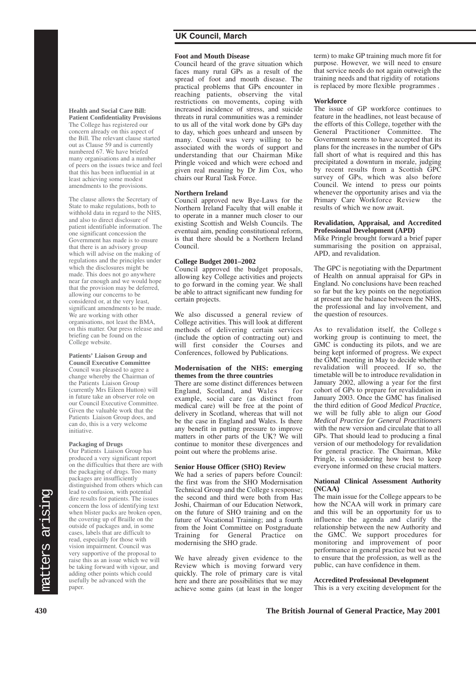# **UK Council, March**

#### **Foot and Mouth Disease**

Council heard of the grave situation which faces many rural GPs as a result of the spread of foot and mouth disease. The practical problems that GPs encounter in reaching patients, observing the vital restrictions on movements, coping with increased incidence of stress, and suicide threats in rural communities was a reminder to us all of the vital work done by GPs day to day, which goes unheard and unseen by many. Council was very willing to be associated with the words of support and understanding that our Chairman Mike Pringle voiced and which were echoed and given real meaning by Dr Jim Cox, who chairs our Rural Task Force.

#### **Northern Ireland**

Council approved new Bye-Laws for the Northern Ireland Faculty that will enable it to operate in a manner much closer to our existing Scottish and Welsh Councils. The eventual aim, pending constitutional reform, is that there should be a Northern Ireland Council.

#### **College Budget 2001–2002**

Council approved the budget proposals, allowing key College activities and projects to go forward in the coming year. We shall be able to attract significant new funding for certain projects.

We also discussed a general review of College activities. This will look at different methods of delivering certain services (include the option of contracting out) and will first consider the Courses and Conferences, followed by Publications.

#### **Modernisation of the NHS: emerging themes from the three countries**

There are some distinct differences between England, Scotland, and Wales example, social care (as distinct from medical care) will be free at the point of delivery in Scotland, whereas that will not be the case in England and Wales. Is there any benefit in putting pressure to improve matters in other parts of the UK? We will continue to monitor these divergences and point out where the problems arise.

#### **Senior House Officer (SHO) Review**

We had a series of papers before Council: the first was from the SHO Modernisation Technical Group and the College s response; the second and third were both from Has Joshi, Chairman of our Education Network, on the future of SHO training and on the future of Vocational Training; and a fourth from the Joint Committee on Postgraduate<br>Training for General Practice on General Practice on modernising the SHO grade.

We have already given evidence to the Review which is moving forward very quickly. The role of primary care is vital here and there are possibilities that we may achieve some gains (at least in the longer term) to make GP training much more fit for purpose. However, we will need to ensure that service needs do not again outweigh the training needs and that rigidity of rotations is replaced by more flexible programmes .

#### **Workforce**

The issue of GP workforce continues to feature in the headlines, not least because of the efforts of this College, together with the General Practitioner Committee. The Government seems to have accepted that its plans for the increases in the number of GPs fall short of what is required and this has precipitated a downturn in morale, judging by recent results from a Scottish GPC survey of GPs, which was also before Council. We intend to press our points whenever the opportunity arises and via the<br>Primary Care Workforce Review the Primary Care Workforce Review results of which we now await.

#### **Revalidation, Appraisal, and Accredited Professional Development (APD)**

Mike Pringle brought forward a brief paper summarising the position on appraisal, APD, and revalidation.

The GPC is negotiating with the Department of Health on annual appraisal for GPs in England. No conclusions have been reached so far but the key points on the negotiation at present are the balance between the NHS, the professional and lay involvement, and the question of resources.

As to revalidation itself, the College s working group is continuing to meet, the GMC is conducting its pilots, and we are being kept informed of progress. We expect the GMC meeting in May to decide whether revalidation will proceed. If so, the timetable will be to introduce revalidation in January 2002, allowing a year for the first cohort of GPs to prepare for revalidation in January 2003. Once the GMC has finalised the third edition of *Good Medical Practice*, we will be fully able to align our *Good Medical Practice for General Practitioners* with the new version and circulate that to all GPs. That should lead to producing a final version of our methodology for revalidation for general practice. The Chairman, Mike Pringle, is considering how best to keep everyone informed on these crucial matters.

#### **National Clinical Assessment Authority (NCAA)**

The main issue for the College appears to be how the NCAA will work in primary care and this will be an opportunity for us to influence the agenda and clarify the relationship between the new Authority and the GMC. We support procedures for monitoring and improvement of poor performance in general practice but we need to ensure that the profession, as well as the public, can have confidence in them.

#### **Accredited Professional Development**

This is a very exciting development for the

#### **Health and Social Care Bill: Patient Confidentiality Provisions**

The College has registered our concern already on this aspect of the Bill. The relevant clause started out as Clause 59 and is currently numbered 67. We have briefed many organisations and a number of peers on the issues twice and feel that this has been influential in at least achieving some modest amendments to the provisions.

The clause allows the Secretary of State to make regulations, both to withhold data in regard to the NHS, and also to direct disclosure of patient identifiable information. The one significant concession the Government has made is to ensure that there is an advisory group which will advise on the making of regulations and the principles under which the disclosures might be made. This does not go anywhere near far enough and we would hope that the provision may be deferred, allowing our concerns to be considered or, at the very least, significant amendments to be made. We are working with other organisations, not least the BMA, on this matter. Our press release and briefing can be found on the College website.

# **Patients' Liaison Group and**

**Council Executive Committee** Council was pleased to agree a change whereby the Chairman of the Patients Liaison Group (currently Mrs Eileen Hutton) will in future take an observer role on our Council Executive Committee. Given the valuable work that the Patients Liaison Group does, and can do, this is a very welcome initiative.

#### **Packaging of Drugs**

Our Patients Liaison Group has produced a very significant report on the difficulties that there are with the packaging of drugs. Too many packages are insufficiently distinguished from others which can lead to confusion, with potential dire results for patients. The issues concern the loss of identifying text when blister packs are broken open, the covering up of Braille on the outside of packages and, in some cases, labels that are difficult to read, especially for those with vision impairment. Council was very supportive of the proposal to raise this as an issue which we will be taking forward with vigour, and adding other points which could usefully be advanced with the paper.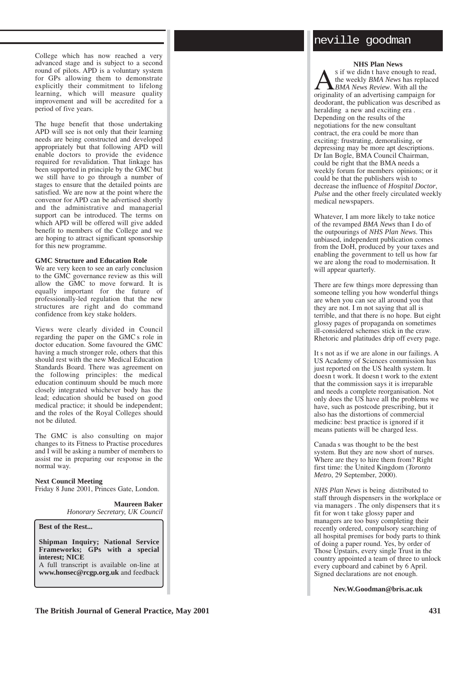College which has now reached a very advanced stage and is subject to a second round of pilots. APD is a voluntary system for GPs allowing them to demonstrate explicitly their commitment to lifelong learning, which will measure quality improvement and will be accredited for a period of five years.

The huge benefit that those undertaking APD will see is not only that their learning needs are being constructed and developed appropriately but that following APD will enable doctors to provide the evidence required for revalidation. That linkage has been supported in principle by the GMC but we still have to go through a number of stages to ensure that the detailed points are satisfied. We are now at the point where the convenor for APD can be advertised shortly and the administrative and managerial support can be introduced. The terms on which APD will be offered will give added benefit to members of the College and we are hoping to attract significant sponsorship for this new programme.

#### **GMC Structure and Education Role**

We are very keen to see an early conclusion to the GMC governance review as this will allow the GMC to move forward. It is equally important for the future of professionally-led regulation that the new structures are right and do command confidence from key stake holders.

Views were clearly divided in Council regarding the paper on the GMC s role in doctor education. Some favoured the GMC having a much stronger role, others that this should rest with the new Medical Education Standards Board. There was agreement on the following principles: the medical education continuum should be much more closely integrated whichever body has the lead; education should be based on good medical practice; it should be independent; and the roles of the Royal Colleges should not be diluted.

The GMC is also consulting on major changes to its Fitness to Practise procedures and I will be asking a number of members to assist me in preparing our response in the normal way.

### **Next Council Meeting**

Friday 8 June 2001, Princes Gate, London.

**Maureen Baker** *Honorary Secretary, UK Council*

**Best of the Rest...**

**Shipman Inquiry; National Service Frameworks; GPs with a special interest; NICE**

A full transcript is available on-line at **www.honsec@rcgp.org.uk** and feedback

# neville goodman

**NHS Plan News** s if we didn t have enough to read,  $\sum_{BMA}$  if we didn t have enough to read,<br>the weekly *BMA News* has replaced<br>originality of an advertising campaign for the weekly *BMA News* has replaced *BMA News Review*. With all the originality of an advertising campaign for deodorant, the publication was described as heralding a new and exciting era . Depending on the results of the negotiations for the new consultant contract, the era could be more than exciting: frustrating, demoralising, or depressing may be more apt descriptions. Dr Ian Bogle, BMA Council Chairman, could be right that the BMA needs a weekly forum for members opinions; or it could be that the publishers wish to decrease the influence of *Hospital Doctor*, *Pulse* and the other freely circulated weekly medical newspapers.

Whatever, I am more likely to take notice of the revamped *BMA News* than I do of the outpourings of *NHS Plan News*. This unbiased, independent publication comes from the DoH, produced by your taxes and enabling the government to tell us how far we are along the road to modernisation. It will appear quarterly.

There are few things more depressing than someone telling you how wonderful things are when you can see all around you that they are not. I m not saying that all is terrible, and that there is no hope. But eight glossy pages of propaganda on sometimes ill-considered schemes stick in the craw. Rhetoric and platitudes drip off every page.

It s not as if we are alone in our failings. A US Academy of Sciences commission has just reported on the US health system. It doesn t work. It doesn t work to the extent that the commission says it is irreparable and needs a complete reorganisation. Not only does the US have all the problems we have, such as postcode prescribing, but it also has the distortions of commercial medicine: best practice is ignored if it means patients will be charged less.

Canada s was thought to be the best system. But they are now short of nurses. Where are they to hire them from? Right first time: the United Kingdom (*Toronto Metro*, 29 September, 2000).

*NHS Plan News* is being distributed to staff through dispensers in the workplace or via managers . The only dispensers that it s fit for won t take glossy paper and managers are too busy completing their recently ordered, compulsory searching of all hospital premises for body parts to think of doing a paper round. Yes, by order of Those Upstairs, every single Trust in the country appointed a team of three to unlock every cupboard and cabinet by 6 April. Signed declarations are not enough.

**Nev.W.Goodman@bris.ac.uk**